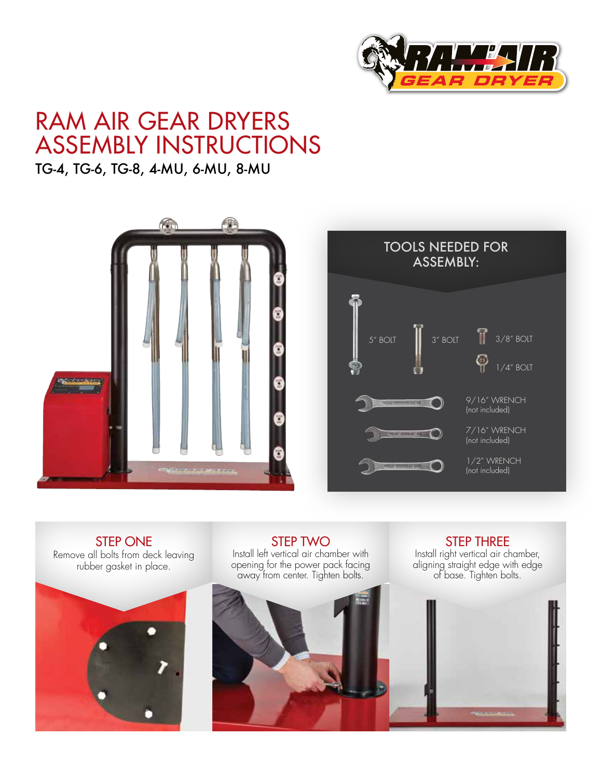

## RAM AIR GEAR DRYERS ASSEMBLY INSTRUCTIONS

## TG-4, TG-6, TG-8, 4-MU, 6-MU, 8-MU



STEP ONE Remove all bolts from deck leaving rubber gasket in place.



STEP TWO Install left vertical air chamber with opening for the power pack facing away from center. Tighten bolts.



STEP THREE Install right vertical air chamber, aligning straight edge with edge of base. Tighten bolts.